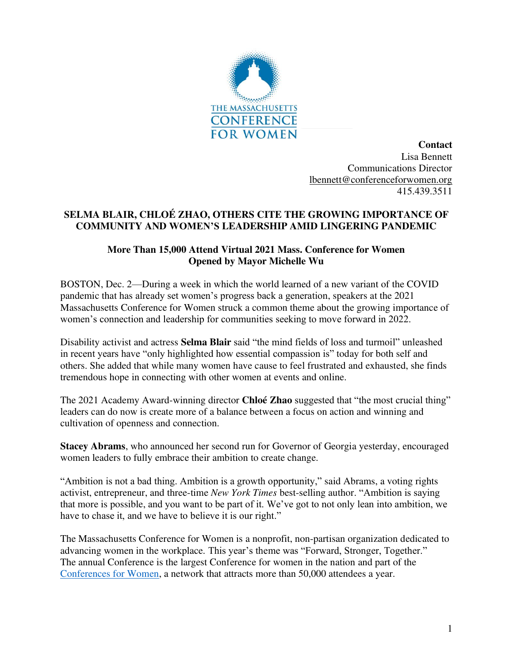

**Contact** Lisa Bennett Communications Director [lbennett@conferenceforwomen.org](mailto:lbennett@conferenceforwomen.org)  415.439.3511

## **SELMA BLAIR, CHLOÉ ZHAO, OTHERS CITE THE GROWING IMPORTANCE OF COMMUNITY AND WOMEN'S LEADERSHIP AMID LINGERING PANDEMIC**

## **More Than 15,000 Attend Virtual 2021 Mass. Conference for Women Opened by Mayor Michelle Wu**

BOSTON, Dec. 2—During a week in which the world learned of a new variant of the COVID pandemic that has already set women's progress back a generation, speakers at the 2021 Massachusetts Conference for Women struck a common theme about the growing importance of women's connection and leadership for communities seeking to move forward in 2022.

Disability activist and actress **Selma Blair** said "the mind fields of loss and turmoil" unleashed in recent years have "only highlighted how essential compassion is" today for both self and others. She added that while many women have cause to feel frustrated and exhausted, she finds tremendous hope in connecting with other women at events and online.

The 2021 Academy Award-winning director **Chloé Zhao** suggested that "the most crucial thing" leaders can do now is create more of a balance between a focus on action and winning and cultivation of openness and connection.

**Stacey Abrams**, who announced her second run for Governor of Georgia yesterday, encouraged women leaders to fully embrace their ambition to create change.

"Ambition is not a bad thing. Ambition is a growth opportunity," said Abrams, a voting rights activist, entrepreneur, and three-time *New York Times* best-selling author. "Ambition is saying that more is possible, and you want to be part of it. We've got to not only lean into ambition, we have to chase it, and we have to believe it is our right."

The Massachusetts Conference for Women is a nonprofit, non-partisan organization dedicated to advancing women in the workplace. This year's theme was "Forward, Stronger, Together." The annual Conference is the largest Conference for women in the nation and part of the [Conferences for Women,](http://www.conferencesforwomen.org/) a network that attracts more than 50,000 attendees a year.